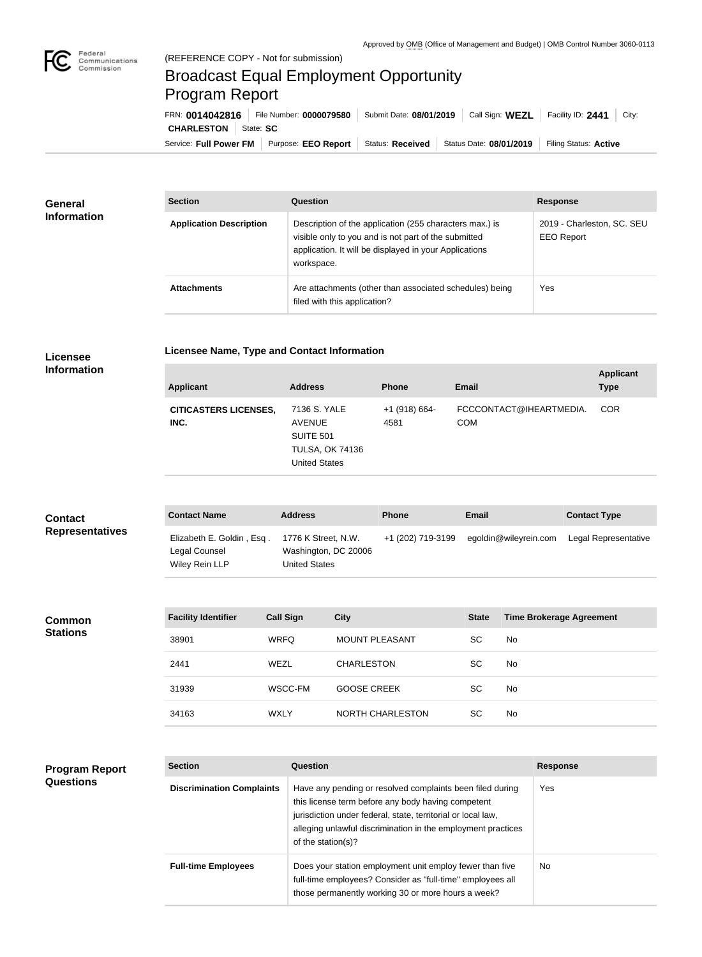

## Broadcast Equal Employment Opportunity Program Report

Service: Full Power FM Purpose: EEO Report | Status: Received | Status Date: 08/01/2019 | Filing Status: Active **CHARLESTON** | State: SC FRN: **0014042816** File Number: **0000079580** Submit Date: **08/01/2019** Call Sign: **WEZL** Facility ID: **2441** City:

| General<br><b>Information</b> | <b>Section</b>                 | Question                                                                                                                                                                                | <b>Response</b>                                 |
|-------------------------------|--------------------------------|-----------------------------------------------------------------------------------------------------------------------------------------------------------------------------------------|-------------------------------------------------|
|                               | <b>Application Description</b> | Description of the application (255 characters max.) is<br>visible only to you and is not part of the submitted<br>application. It will be displayed in your Applications<br>workspace. | 2019 - Charleston, SC. SEU<br><b>EEO Report</b> |
|                               | <b>Attachments</b>             | Are attachments (other than associated schedules) being<br>filed with this application?                                                                                                 | Yes                                             |

## **Licensee**

**Licensee Name, Type and Contact Information**

**Program Report** 

**Questions**

| <b>Applicant</b>                     | <b>Address</b>                                                                                      | <b>Phone</b>            | <b>Email</b>                          | <b>Applicant</b><br><b>Type</b> |
|--------------------------------------|-----------------------------------------------------------------------------------------------------|-------------------------|---------------------------------------|---------------------------------|
| <b>CITICASTERS LICENSES,</b><br>INC. | 7136 S. YALE<br><b>AVENUE</b><br><b>SUITE 501</b><br><b>TULSA, OK 74136</b><br><b>United States</b> | $+1$ (918) 664-<br>4581 | FCCCONTACT@IHEARTMEDIA.<br><b>COM</b> | <b>COR</b>                      |

| <b>Contact</b><br><b>Representatives</b> | <b>Contact Name</b>                                          | <b>Address</b>                                                      | <b>Phone</b>      | Email                 | <b>Contact Type</b>  |
|------------------------------------------|--------------------------------------------------------------|---------------------------------------------------------------------|-------------------|-----------------------|----------------------|
|                                          | Elizabeth E. Goldin, Esq.<br>Legal Counsel<br>Wiley Rein LLP | 1776 K Street, N.W.<br>Washington, DC 20006<br><b>United States</b> | +1 (202) 719-3199 | egoldin@wileyrein.com | Legal Representative |

| <b>Common</b><br><b>Stations</b> | <b>Facility Identifier</b> | <b>Call Sign</b> | <b>City</b>           | <b>State</b> | <b>Time Brokerage Agreement</b> |
|----------------------------------|----------------------------|------------------|-----------------------|--------------|---------------------------------|
|                                  | 38901                      | <b>WRFQ</b>      | <b>MOUNT PLEASANT</b> | <b>SC</b>    | No                              |
|                                  | 2441                       | WEZL             | <b>CHARLESTON</b>     | <b>SC</b>    | <b>No</b>                       |
|                                  | 31939                      | WSCC-FM          | <b>GOOSE CREEK</b>    | <b>SC</b>    | No.                             |
|                                  | 34163                      | <b>WXLY</b>      | NORTH CHARLESTON      | <b>SC</b>    | No.                             |

| <b>Section</b>                   | Question                                                                                                                                                                                                                                                              | <b>Response</b> |
|----------------------------------|-----------------------------------------------------------------------------------------------------------------------------------------------------------------------------------------------------------------------------------------------------------------------|-----------------|
| <b>Discrimination Complaints</b> | Have any pending or resolved complaints been filed during<br>this license term before any body having competent<br>jurisdiction under federal, state, territorial or local law,<br>alleging unlawful discrimination in the employment practices<br>of the station(s)? | Yes             |
| <b>Full-time Employees</b>       | Does your station employment unit employ fewer than five<br>full-time employees? Consider as "full-time" employees all<br>those permanently working 30 or more hours a week?                                                                                          | <b>No</b>       |